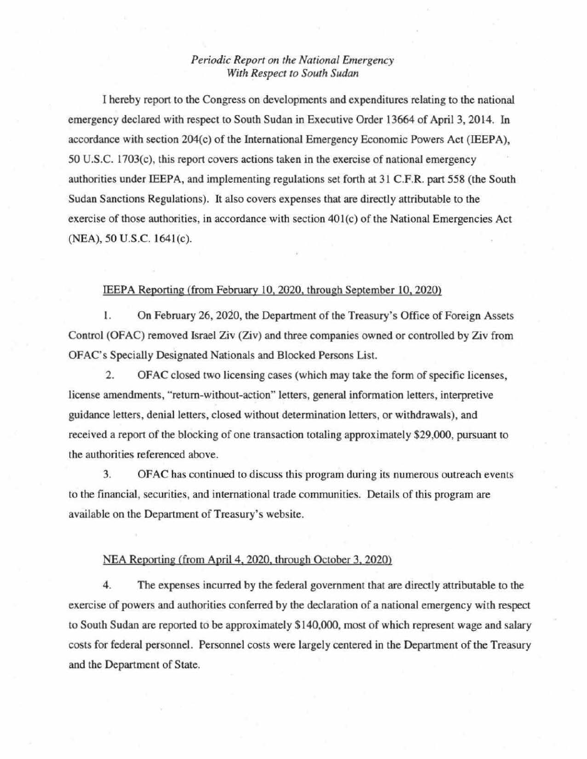## *Periodic Report on the National Emergency With Respect to South Sudan*

1 hereby report to tbe Congress on developments and expenditures relating to tbe national emergency declared with respect to South Sudan in Executive Order 13664 of April 3, 2014. In accordance with section 204(c) of the International Emergency Economic Powers Act (IEEPA), 50 U.S.C. 1703(c), this report covers actions taken in the exercise of national emergency authorities under IEEPA, and implementing regulations set forth at 31 C.F.R. part 558 (the South Sudan Sanctions Regulations). It also covers expenses that are directly attributable to the exercise of those authorities, in accordance with section 401(c) of the National Emergencies Act (NEA), 50 U.S.C. 1641(c).

## IEEPA Reporting (from February 10,2020, through September 10,2020)

1. On February 26, 2020, the Department of the Treasury's Office of Foreign Assets Control (OFAC) removed Israel Ziv (Ziv) and three companies owned or controlled by Ziv from OFAC's Specially Designated Nationals and Blocked Persons List.

2. OFAC closed two licensing cases (which may take the form of specific licenses, license amendments, "return-without-action" letters, general information letters, interpretive guidance letters, denial letters, closed without determination letters, or withdrawals), and received a report of the blocking of one transaction totaling approximately \$29,000, pursuant to the authorities referenced above.

3. OFAC has continued to discuss this program during its numerous outreach events to the financial, securities, and international trade communities. Details of this program are available on the Department of Treasury's website.

## NEA Reporting (from April 4, 2020, through October 3, 2020)

4. The expenses incurred by the federal government that are directly attributable to tbe exercise of powers and authorities conferred by the declaration of a national emergency with respect to South Sudan are reported to be approximately \$140,000, most of which represent wage and salary costs for federal personnel. Personnel costs were largely centered in the Department of the Treasury and tbe Department of State.